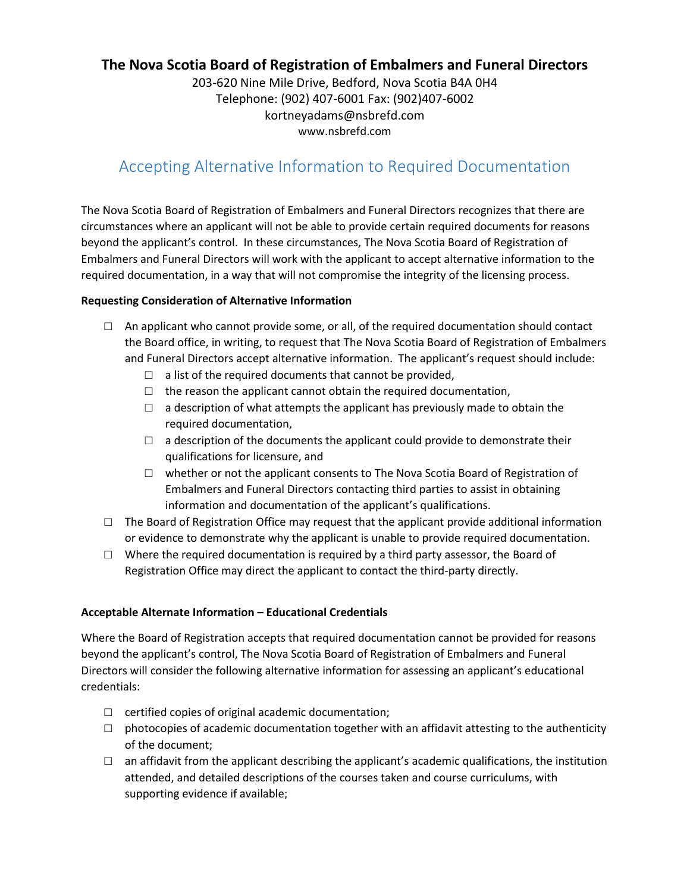## **The Nova Scotia Board of Registration of Embalmers and Funeral Directors**

203-620 Nine Mile Drive, Bedford, Nova Scotia B4A 0H4 Telephone: (902) 407-6001 Fax: (902)407-6002 kortneyadams@nsbrefd.com www.nsbrefd.com

# Accepting Alternative Information to Required Documentation

The Nova Scotia Board of Registration of Embalmers and Funeral Directors recognizes that there are circumstances where an applicant will not be able to provide certain required documents for reasons beyond the applicant's control. In these circumstances, The Nova Scotia Board of Registration of Embalmers and Funeral Directors will work with the applicant to accept alternative information to the required documentation, in a way that will not compromise the integrity of the licensing process.

#### **Requesting Consideration of Alternative Information**

- $\Box$  An applicant who cannot provide some, or all, of the required documentation should contact the Board office, in writing, to request that The Nova Scotia Board of Registration of Embalmers and Funeral Directors accept alternative information. The applicant's request should include:
	- $\Box$  a list of the required documents that cannot be provided,
	- $\Box$  the reason the applicant cannot obtain the required documentation,
	- $\Box$  a description of what attempts the applicant has previously made to obtain the required documentation,
	- $\Box$  a description of the documents the applicant could provide to demonstrate their qualifications for licensure, and
	- $\Box$  whether or not the applicant consents to The Nova Scotia Board of Registration of Embalmers and Funeral Directors contacting third parties to assist in obtaining information and documentation of the applicant's qualifications.
- $\Box$  The Board of Registration Office may request that the applicant provide additional information or evidence to demonstrate why the applicant is unable to provide required documentation.
- $\Box$  Where the required documentation is required by a third party assessor, the Board of Registration Office may direct the applicant to contact the third-party directly.

#### **Acceptable Alternate Information – Educational Credentials**

Where the Board of Registration accepts that required documentation cannot be provided for reasons beyond the applicant's control, The Nova Scotia Board of Registration of Embalmers and Funeral Directors will consider the following alternative information for assessing an applicant's educational credentials:

- $\Box$  certified copies of original academic documentation;
- $\Box$  photocopies of academic documentation together with an affidavit attesting to the authenticity of the document;
- $\Box$  an affidavit from the applicant describing the applicant's academic qualifications, the institution attended, and detailed descriptions of the courses taken and course curriculums, with supporting evidence if available;